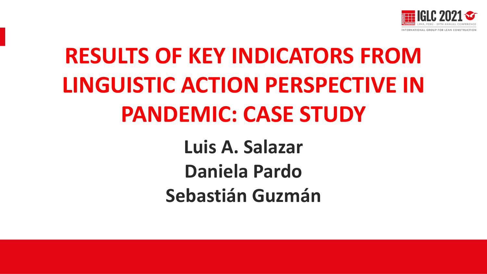

# **RESULTS OF KEY INDICATORS FROM LINGUISTIC ACTION PERSPECTIVE IN PANDEMIC: CASE STUDY**

**Luis A. Salazar Daniela Pardo Sebastián Guzmán**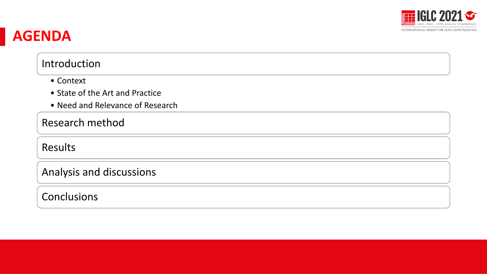

#### **AGENDA**

#### Introduction

- Context
- State of the Art and Practice
- Need and Relevance of Research

#### Research method

Results

Analysis and discussions

#### **Conclusions**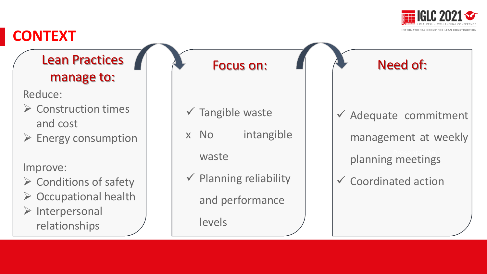

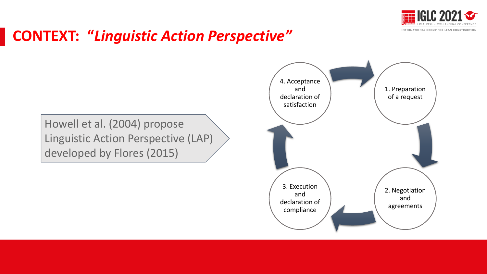

#### **CONTEXT: "***Linguistic Action Perspective"*

Howell et al. (2004) propose Linguistic Action Perspective (LAP) developed by Flores (2015)

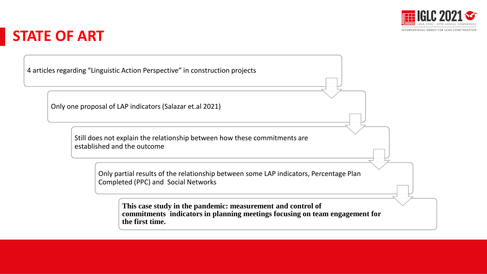

#### **STATE OF ART**

4 articles regarding "Linguistic Action Perspective" in construction projects

Only one proposal of LAP indicators (Salazar et.al 2021)

Still does not explain the relationship between how these commitments are established and the outcome Presentación Presentación

Only partial results of the relationship between some LAP indicators, Percentage Plan Completed (PPC) and Social Networks

**This case study in the pandemic: measurement and control of commitments indicators in planning meetings focusing on team engagement for the first time.**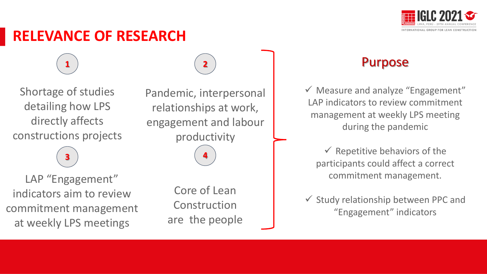

#### **RELEVANCE OF RESEARCH**

Shortage of studies detailing how LPS directly affects constructions projects

**3**

**1**

LAP "Engagement" indicators aim to review commitment management at weekly LPS meetings

Pandemic, interpersonal relationships at work, engagement and labour productivity

**4**

**2**

Core of Lean Construction are the people

#### Purpose

 $\checkmark$  Measure and analyze "Engagement" LAP indicators to review commitment management at weekly LPS meeting during the pandemic

 $\checkmark$  Repetitive behaviors of the participants could affect a correct commitment management.

✓ Study relationship between PPC and "Engagement" indicators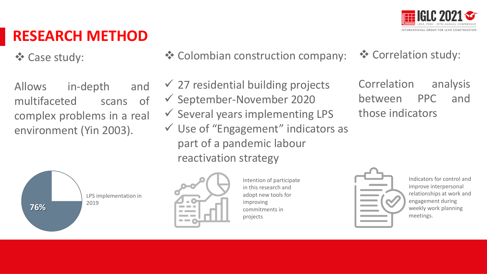

### **RESEARCH METHOD**

❖ Case study:

Allows in-depth and multifaceted scans of complex problems in a real environment (Yin 2003).



- ❖ Colombian construction company: ❖ Correlation study:
- nder and presentación estategy elementación estategy elementación en el antigación en el antigación de la contentación de la contentación de la contentación de la contentación de la contentación de la contentación de la co  $\checkmark$  27 residential building projects ✓ September-November 2020  $\checkmark$  Several years implementing LPS  $\checkmark$  Use of "Engagement" indicators as part of a pandemic labour

Correlation analysis between PPC and those indicators



Intention of participate in this research and adopt new tools for improving commitments in projects



Indicators for control and improve interpersonal relationships at work and engagement during weekly work planning meetings.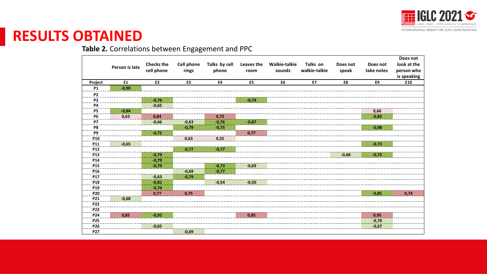

#### **RESULTS OBTAINED**

#### **Table 2.** Correlations between Engagement and PPC

|                 |                |                   |                   |               |                    |                      |               |          |                        | Does not    |
|-----------------|----------------|-------------------|-------------------|---------------|--------------------|----------------------|---------------|----------|------------------------|-------------|
|                 | Person is late | <b>Checks the</b> | <b>Cell phone</b> | Talks by cell | Leaves the<br>room | <b>Walkie-talkie</b> | Talks on      | Does not | Does not<br>take notes | look at the |
|                 |                | cell phone        | rings             | phone         |                    | sounds               | walkie-talkie | speak    |                        | person who  |
|                 |                |                   |                   |               |                    |                      |               |          |                        | is speaking |
| Project         | <b>E1</b>      | E <sub>2</sub>    | E3                | E4            | E <sub>5</sub>     | E <sub>6</sub>       | E7            | E8       | E9                     | E10         |
| <b>P1</b>       | $-0,90$        |                   |                   |               |                    |                      |               |          |                        |             |
| P <sub>2</sub>  |                |                   |                   |               |                    |                      |               |          |                        |             |
| P3              |                | $-0,76$           |                   | $-0,74$       |                    |                      |               |          |                        |             |
| <b>P4</b>       |                | $-0,65$           |                   |               |                    |                      |               |          |                        |             |
| P5              | $-0,84$        |                   |                   |               |                    |                      |               |          | 0,66                   |             |
| <b>P6</b>       | 0,63           | 0,84              |                   | 0,72          |                    |                      |               |          | $-0,82$                |             |
| <b>P7</b>       |                | $-0,66$           | $-0,63$           | $-0,76$       | $-0,87$            |                      |               |          |                        |             |
| P <sub>8</sub>  |                |                   | $-0,79$           | $-0,75$       |                    |                      |               |          | $-0,98$                |             |
| P <sub>9</sub>  |                | $-0,72$           |                   |               | 0,77               |                      |               |          |                        |             |
| P10             |                |                   | 0,63              | 0,55          |                    |                      |               |          |                        |             |
| P11             | $-0,65$        |                   |                   |               |                    |                      |               |          | $-0,73$                |             |
| P <sub>12</sub> |                |                   | $-0,77$           | $-0,77$       |                    |                      |               |          |                        |             |
| <b>P13</b>      |                | $-0,79$           |                   |               |                    |                      |               | $-0,68$  | $-0,75$                |             |
| P14             |                | $-0,79$           |                   |               |                    |                      |               |          |                        |             |
| P <sub>15</sub> |                | $-0,79$           |                   | $-0,73$       | $-0,69$            |                      |               |          |                        |             |
| P <sub>16</sub> |                |                   | $-0,69$           | $-0,77$       |                    |                      |               |          |                        |             |
| P17             |                | $-0,63$           | $-0,79$           |               |                    |                      |               |          |                        |             |
| P18             |                | $-0,81$           |                   | $-0,54$       | $-0,50$            |                      |               |          |                        |             |
| P19             |                | $-0,74$           |                   |               |                    |                      |               |          |                        |             |
| <b>P20</b>      |                | 0,77              | 0,75              |               |                    |                      |               |          | $-0,85$                | 0,74        |
| P21             | $-0,68$        |                   |                   |               |                    |                      |               |          |                        |             |
| <b>P22</b>      |                |                   |                   |               |                    |                      |               |          |                        |             |
| P23             |                |                   |                   |               |                    |                      |               |          |                        |             |
| P24             | 0,85           | $-0,92$           |                   |               | 0,85               |                      |               |          | 0,95                   |             |
| <b>P25</b>      |                |                   |                   |               |                    |                      |               |          | $-0,70$                |             |
| P26             |                | $-0,65$           |                   |               |                    |                      |               |          | $-0,67$                |             |
| <b>P27</b>      |                |                   | $-0,69$           |               |                    |                      |               |          |                        |             |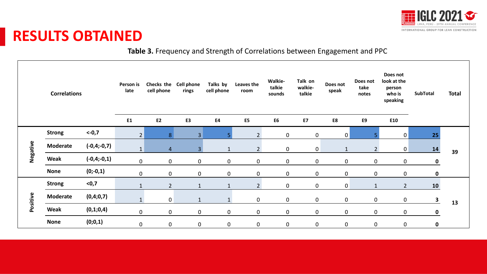

#### **RESULTS OBTAINED**

**Table 3.** Frequency and Strength of Correlations between Engagement and PPC

|          | <b>Correlations</b> |               | Person is<br>late | Checks the Cell phone<br>cell phone | rings          | Talks by<br>cell phone | Leaves the<br>room | Walkie-<br>talkie<br>sounds | Talk on<br>walkie-<br>talkie | Does not<br>speak | Does not<br>take<br>notes | Does not<br>look at the<br>person<br>who is<br>speaking | <b>SubTotal</b> | <b>Total</b> |
|----------|---------------------|---------------|-------------------|-------------------------------------|----------------|------------------------|--------------------|-----------------------------|------------------------------|-------------------|---------------------------|---------------------------------------------------------|-----------------|--------------|
|          |                     |               | E <sub>1</sub>    | <b>E2</b>                           | E3             | <b>E4</b>              | E5                 | E <sub>6</sub>              | <b>E7</b>                    | E8                | E9                        | E10                                                     |                 |              |
|          | <b>Strong</b>       | $<-0,7$       | $\overline{2}$    | 8 <sup>1</sup>                      | $\overline{3}$ |                        | $2^{\circ}$        | $\mathbf 0$                 | $\mathbf 0$                  | 0                 | 5                         | $\mathbf 0$                                             | 25              | 39           |
| Negative | <b>Moderate</b>     | $(-0,4;-0,7)$ | $1\,$             | 4                                   | 3 <sup>1</sup> |                        | 2 <sup>1</sup>     | $\mathbf 0$                 | $\mathbf 0$                  | $\mathbf{1}$      | 2 <sup>1</sup>            | $\mathbf 0$                                             | 14              |              |
|          | Weak                | $(-0,4;-0,1)$ | $\mathbf 0$       | $\mathsf{O}$                        | $\mathbf 0$    | $\mathbf 0$            | $\mathbf 0$        | $\mathbf 0$                 | $\mathbf 0$                  | $\mathbf 0$       | $\mathbf{0}$              | $\mathbf 0$                                             | 0               |              |
|          | <b>None</b>         | $(0;-0,1)$    | $\mathbf 0$       | $\mathbf 0$                         | $\mathbf 0$    | $\mathbf 0$            | $\mathsf{O}$       | $\mathbf 0$                 | $\mathbf 0$                  | $\mathbf 0$       | $\mathbf 0$               | $\mathbf 0$                                             | $\mathbf 0$     |              |
|          | <b>Strong</b>       | $0,7$         | $\mathbf{1}$      | $\overline{2}$                      | $\mathbf{1}$   |                        | $2^{\circ}$        | $\mathbf 0$                 | 0                            | $\mathbf 0$       | $\mathbf{1}$              | $2^{\circ}$                                             | 10              | 13           |
| Positive | <b>Moderate</b>     | (0,4;0,7)     | $\mathbf{1}$      | $\overline{0}$                      | $\mathbf{1}$   |                        | $\mathbf 0$        | $\mathbf 0$                 | $\mathbf 0$                  | $\mathbf 0$       | $\mathbf 0$               | $\mathbf 0$                                             | $\mathbf{3}$    |              |
|          | Weak                | (0,1;0,4)     | $\mathbf 0$       | $\mathbf 0$                         | $\mathbf 0$    | $\mathbf 0$            | $\mathbf 0$        | $\mathbf 0$                 | $\mathbf 0$                  | $\mathbf 0$       | $\mathsf{O}$              | 0                                                       | 0               |              |
|          | <b>None</b>         | (0;0,1)       | $\mathbf 0$       | $\mathsf{O}$                        | $\mathbf 0$    | $\mathbf 0$            | $\mathbf 0$        | $\pmb{0}$                   | $\pmb{0}$                    | $\mathbf 0$       | $\mathbf 0$               | $\mathbf 0$                                             | $\mathbf 0$     |              |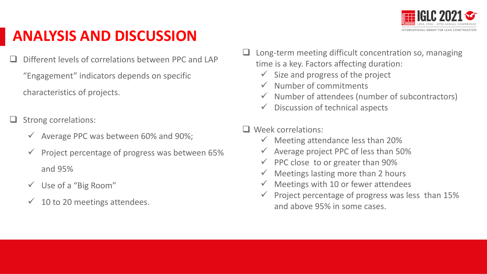

### **ANALYSIS AND DISCUSSION**

Different levels of correlations between PPC and LAP "Engagement" indicators depends on specific characteristics of projects.

❑ Strong correlations:

- $\checkmark$  Average PPC was between 60% and 90%;
- $\checkmark$  Project percentage of progress was between 65% and 95%
- $\checkmark$  Use of a "Big Room"
- $\checkmark$  10 to 20 meetings attendees.
- Long-term meeting difficult concentration so, managing time is a key. Factors affecting duration:
	- $\checkmark$  Size and progress of the project
	- ✓ Number of commitments
	- $\checkmark$  Number of attendees (number of subcontractors)
	- $\checkmark$  Discussion of technical aspects

❑ Week correlations:

- $\checkmark$  Meeting attendance less than 20%
- $\checkmark$  Average project PPC of less than 50%
	- $\checkmark$  PPC close to or greater than 90%
	- $\checkmark$  Meetings lasting more than 2 hours
	- $\checkmark$  Meetings with 10 or fewer attendees
	- $\checkmark$  Project percentage of progress was less than 15% and above 95% in some cases.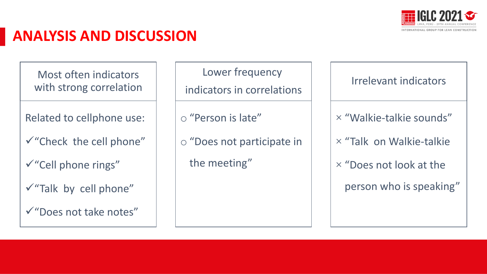

#### **ANALYSIS AND DISCUSSION**

Most often indicators with strong correlation

Related to cellphone use:

✓"Check the cell phone"

✓"Cell phone rings"

- ✓"Talk by cell phone"
- ✓"Does not take notes"

Lower frequency

indicators in correlations

o "Person is late"

o "Does not participate in

the meeting"

Irrelevant indicators

 $\times$  "Walkie-talkie sounds"

Presentación Presentación  $\times$  "Talk on Walkie-talkie

 $\times$  "Does not look at the

person who is speaking"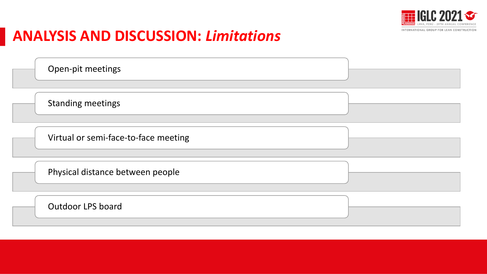

Presentación Presentación

#### **ANALYSIS AND DISCUSSION:** *Limitations*

Open-pit meetings

Standing meetings

Virtual or semi-face-to-face meeting

Physical distance between people

Outdoor LPS board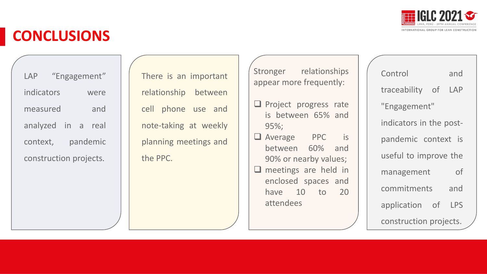

### **CONCLUSIONS**

LAP "Engagement" indicators were measured and analyzed in a real context, pandemic construction projects.

There is an important relationship between cell phone use and note-taking at weekly planning meetings and the PPC.

Stronger relationships appear more frequently:

□ Project progress rate is between 65% and 95%;

❑ Average PPC is between 60% and 90% or nearby values; □ meetings are held in enclosed spaces and have 10 to 20 attendees

| Control<br>and            |  |  |  |  |  |  |
|---------------------------|--|--|--|--|--|--|
| traceability<br>of<br>LAP |  |  |  |  |  |  |
| "Engagement"              |  |  |  |  |  |  |
| indicators in the post-   |  |  |  |  |  |  |
| pandemic context is       |  |  |  |  |  |  |
| useful to improve the     |  |  |  |  |  |  |
| of<br>management          |  |  |  |  |  |  |
| commitments<br>and        |  |  |  |  |  |  |
| LPS<br>application<br>of  |  |  |  |  |  |  |
| construction projects.    |  |  |  |  |  |  |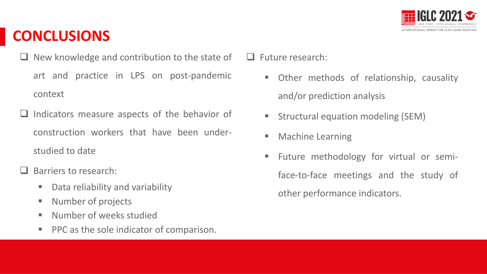

### **CONCLUSIONS**

- ❑ New knowledge and contribution to the state of art and practice in LPS on post-pandemic context
- ❑ Indicators measure aspects of the behavior of construction workers that have been understudied to date
- Barriers to research:
	- Data reliability and variability
	- Number of projects
	- Number of weeks studied
	- PPC as the sole indicator of comparison.

❑ Future research:

- Other methods of relationship, causality and/or prediction analysis
- Structural equation modeling (SEM)
- Machine Learning
- **Future methodology for virtual or semi**face-to-face meetings and the study of other performance indicators.